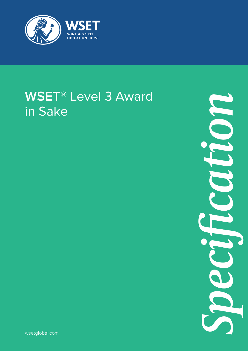

# **WSET**® Level 3 Award in Sake

*Specification*

wsetglobal.com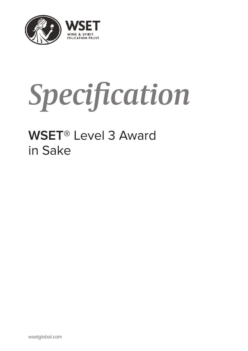

# *Specification*

## **WSET**® Level 3 Award in Sake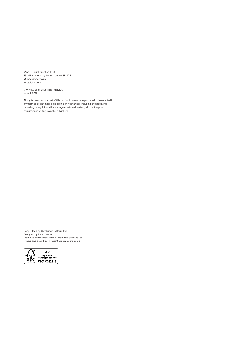Wine & Spirit Education Trust 39–45 Bermondsey Street, London SE1 3XF wset@wset.co.uk wsetglobal.com

© Wine & Spirit Education Trust 2017 Issue 1, 2017

All rights reserved. No part of this publication may be reproduced or transmitted in any form or by any means, electronic or mechanical, including photocopying, recording or any information storage or retrieval system, without the prior permission in writing from the publishers.

Copy Edited by Cambridge Editorial Ltd Designed by Peter Dolton Produced by Wayment Print & Publishing Services Ltd Printed and bound by Pureprint Group, Uckfield, UK

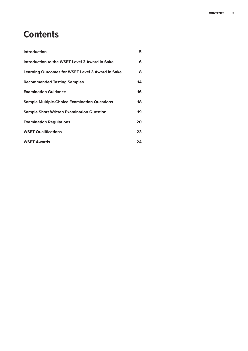## **Contents**

| Introduction                                            | 5  |
|---------------------------------------------------------|----|
| Introduction to the WSET Level 3 Award in Sake          | 6  |
| <b>Learning Outcomes for WSET Level 3 Award in Sake</b> | 8  |
| <b>Recommended Tasting Samples</b>                      | 14 |
| <b>Examination Guidance</b>                             | 16 |
| <b>Sample Multiple-Choice Examination Questions</b>     | 18 |
| <b>Sample Short Written Examination Question</b>        | 19 |
| <b>Examination Regulations</b>                          | 20 |
| <b>WSET Qualifications</b>                              | 23 |
| <b>WSET Awards</b>                                      | 24 |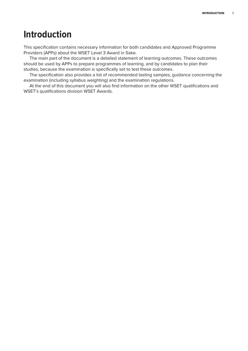## **Introduction**

This specification contains necessary information for both candidates and Approved Programme Providers (APPs) about the WSET Level 3 Award in Sake.

The main part of the document is a detailed statement of learning outcomes. These outcomes should be used by APPs to prepare programmes of learning, and by candidates to plan their studies, because the examination is specifically set to test these outcomes.

The specification also provides a list of recommended tasting samples, guidance concerning the examination (including syllabus weighting) and the examination regulations.

At the end of this document you will also find information on the other WSET qualifications and WSET's qualifications division WSET Awards.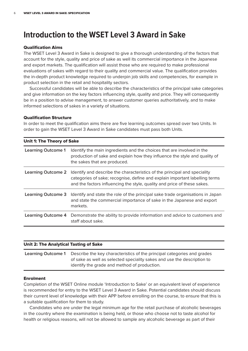## **Introduction to the WSET Level 3 Award in Sake**

#### Qualification Aims

The WSET Level 3 Award in Sake is designed to give a thorough understanding of the factors that account for the style, quality and price of sake as well its commercial importance in the Japanese and export markets. The qualification will assist those who are required to make professional evaluations of sakes with regard to their quality and commercial value. The qualification provides the in-depth product knowledge required to underpin job skills and competencies, for example in product selection in the retail and hospitality sectors.

Successful candidates will be able to describe the characteristics of the principal sake categories and give information on the key factors influencing style, quality and price. They will consequently be in a position to advise management, to answer customer queries authoritatively, and to make informed selections of sakes in a variety of situations.

#### Qualification Structure

In order to meet the qualification aims there are five learning outcomes spread over two Units. In order to gain the WSET Level 3 Award in Sake candidates must pass both Units.

| <b>Unit 1: The Theory of Sake</b> |                                                                                                                                                                                                                                      |  |
|-----------------------------------|--------------------------------------------------------------------------------------------------------------------------------------------------------------------------------------------------------------------------------------|--|
| <b>Learning Outcome 1</b>         | Identify the main ingredients and the choices that are involved in the<br>production of sake and explain how they influence the style and quality of<br>the sakes that are produced.                                                 |  |
| <b>Learning Outcome 2</b>         | Identify and describe the characteristics of the principal and speciality<br>categories of sake; recognise, define and explain important labelling terms<br>and the factors influencing the style, quality and price of these sakes. |  |
| <b>Learning Outcome 3</b>         | Identify and state the role of the principal sake trade organisations in Japan<br>and state the commercial importance of sake in the Japanese and export<br>markets.                                                                 |  |
| <b>Learning Outcome 4</b>         | Demonstrate the ability to provide information and advice to customers and<br>staff about sake.                                                                                                                                      |  |

#### Unit 2: The Analytical Tasting of Sake

| <b>Learning Outcome 1</b> Describe the key characteristics of the principal categories and grades |
|---------------------------------------------------------------------------------------------------|
| of sake as well as selected speciality sakes and use the description to                           |
| identify the grade and method of production.                                                      |

#### Enrolment

Completion of the WSET Online module 'Introduction to Sake' or an equivalent level of experience is recommended for entry to the WSET Level 3 Award in Sake. Potential candidates should discuss their current level of knowledge with their APP before enrolling on the course, to ensure that this is a suitable qualification for them to study.

Candidates who are under the legal minimum age for the retail purchase of alcoholic beverages in the country where the examination is being held, or those who choose not to taste alcohol for health or religious reasons, will not be allowed to sample any alcoholic beverage as part of their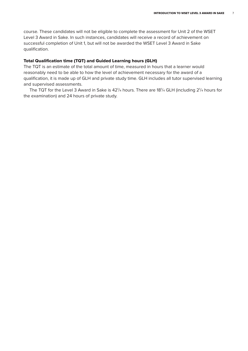course. These candidates will not be eligible to complete the assessment for Unit 2 of the WSET Level 3 Award in Sake. In such instances, candidates will receive a record of achievement on successful completion of Unit 1, but will not be awarded the WSET Level 3 Award in Sake qualification.

#### Total Qualification time (TQT) and Guided Learning hours (GLH)

The TQT is an estimate of the total amount of time, measured in hours that a learner would reasonably need to be able to how the level of achievement necessary for the award of a qualification, it is made up of GLH and private study time. GLH includes all tutor supervised learning and supervised assessments.

The TQT for the Level 3 Award in Sake is 42<sup>1</sup>/4 hours. There are 18<sup>1</sup>/4 GLH (including 2<sup>1</sup>/4 hours for the examination) and 24 hours of private study.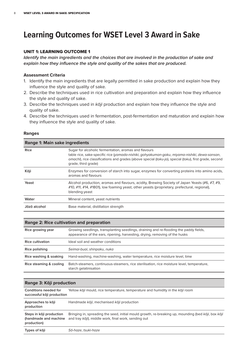## **Learning Outcomes for WSET Level 3 Award in Sake**

#### UNIT 1: LEARNING OUTCOME 1

*Identify the main ingredients and the choices that are involved in the production of sake and explain how they influence the style and quality of the sakes that are produced.*

#### **Assessment Criteria**

- 1. Identify the main ingredients that are legally permitted in sake production and explain how they influence the style and quality of sake.
- 2. Describe the techniques used in rice cultivation and preparation and explain how they influence the style and quality of sake.
- 3. Describe the techniques used in  $k\bar{o}ji$  production and explain how they influence the style and quality of sake.
- 4. Describe the techniques used in fermentation, post-fermentation and maturation and explain how they influence the style and quality of sake.

#### **Ranges**

| Range 1: Main sake ingredients |                                                                                                                                                                                                                                                                                         |  |
|--------------------------------|-----------------------------------------------------------------------------------------------------------------------------------------------------------------------------------------------------------------------------------------------------------------------------------------|--|
| <b>Rice</b>                    | Sugar for alcoholic fermentation, aromas and flavours<br>table rice, sake-specific rice (yamada-nishiki, gohyakuman-goku, miyama-nishiki, dewa-sansan,<br>omachi), rice classifications and grades (above special (toku-jo), special (toku), first grade, second<br>grade, third grade) |  |
| Kōji                           | Enzymes for conversion of starch into sugar, enzymes for converting proteins into amino acids,<br>aromas and flavours                                                                                                                                                                   |  |
| Yeast                          | Alcohol production, aromas and flavours, acidity, Brewing Society of Japan Yeasts (#6, #7, #9,<br>#10, #11, #14, #1801), low foaming yeast, other yeasts (proprietary, prefectural, regional),<br>blending yeast                                                                        |  |
| Water                          | Mineral content, yeast nutrients                                                                                                                                                                                                                                                        |  |
| Jōzō alcohol                   | Base material, distillation strength                                                                                                                                                                                                                                                    |  |

#### **Range 2: Rice cultivation and preparation**

| Rice growing year       | Growing seedlings, transplanting seedlings, draining and re-flooding the paddy fields,<br>appearance of the ears, ripening, harvesting, drying, removing of the husks |
|-------------------------|-----------------------------------------------------------------------------------------------------------------------------------------------------------------------|
| Rice cultivation        | Ideal soil and weather conditions                                                                                                                                     |
| Rice polishing          | Seimai-buai, shinpaku, nuka                                                                                                                                           |
| Rice washing & soaking  | Hand-washing, machine-washing, water temperature, rice moisture level, time                                                                                           |
| Rice steaming & cooling | Batch-steamers, continuous-steamers, rice sterilisation, rice moisture level, temperature,<br>starch gelatinisation                                                   |

| Range 3: Kōji production                                         |                                                                                                                                                             |  |
|------------------------------------------------------------------|-------------------------------------------------------------------------------------------------------------------------------------------------------------|--|
| Conditions needed for<br>successful kõji production              | Yellow kōji mould, rice temperature, temperature and humidity in the kōji room                                                                              |  |
| Approaches to koji<br>production                                 | Handmade kōji, mechanised kōji production                                                                                                                   |  |
| Steps in kōji production<br>(handmade and machine<br>production) | Bringing in, spreading the seed, initial mould growth, re-breaking up, mounding (bed kōji, box kōji<br>and tray kōji), middle work, final work, sending out |  |
| Types of koji                                                    | Sō-haze, tsuki-haze                                                                                                                                         |  |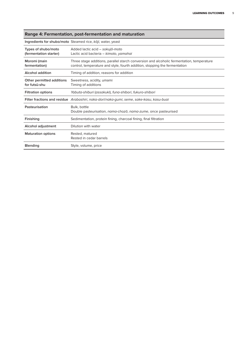| Range 4: Fermentation, post-fermentation and maturation |                                                                                                                                                                         |  |
|---------------------------------------------------------|-------------------------------------------------------------------------------------------------------------------------------------------------------------------------|--|
|                                                         | Ingredients for shubo/moto Steamed rice, koji, water, yeast                                                                                                             |  |
| Types of shubo/moto<br>(fermentation starter)           | Added lactic acid - sokujō-moto<br>Lactic acid bacteria - kimoto, yamahai                                                                                               |  |
| Moromi (main<br>fermentation)                           | Three stage additions, parallel starch conversion and alcoholic fermentation, temperature<br>control, temperature and style, fourth addition, stopping the fermentation |  |
| <b>Alcohol addition</b>                                 | Timing of addition, reasons for addition                                                                                                                                |  |
| Other permitted additions<br>for futsū-shu              | Sweetness, acidity, umami<br>Timing of additions                                                                                                                        |  |
| <b>Filtration options</b>                               | Yabuta-shiburi (assakuki), funa-shibori, fukuro-shibori                                                                                                                 |  |
|                                                         | Filter fractions and residue Arabashiri, naka-dori/naka-gumi, seme, sake-kasu, kasu-buai                                                                                |  |
| Pasteurisation                                          | Bulk, bottle<br>Double pasteurisation, <i>nama-chozo</i> , <i>nama-zume</i> , once pasteurised                                                                          |  |
| Finishing                                               | Sedimentation, protein fining, charcoal fining, final filtration                                                                                                        |  |
| Alcohol adjustment                                      | Dilution with water                                                                                                                                                     |  |
| <b>Maturation options</b>                               | Rested, matured<br>Rested in cedar barrels                                                                                                                              |  |
| <b>Blending</b>                                         | Style, volume, price                                                                                                                                                    |  |

#### **Range 4: Fermentation, post-fermentation and maturation**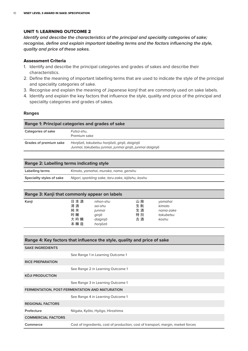#### UNIT 1: LEARNING OUTCOME 2

*Identify and describe the characteristics of the principal and speciality categories of sake; recognise, define and explain important labelling terms and the factors influencing the style, quality and price of these sakes.*

#### Assessment Criteria

- 1. Identify and describe the principal categories and grades of sakes and describe their characteristics.
- 2. Define the meaning of important labelling terms that are used to indicate the style of the principal and speciality categories of sake.
- 3. Recognise and explain the meaning of Japanese kanji that are commonly used on sake labels.
- 4. Identify and explain the key factors that influence the style, quality and price of the principal and speciality categories and grades of sakes.

#### **Ranges**

| Range 1: Principal categories and grades of sake |                                                                                                        |  |
|--------------------------------------------------|--------------------------------------------------------------------------------------------------------|--|
| Categories of sake                               | Futsū-shu,<br>Premium sake                                                                             |  |
| Grades of premium sake                           | Honjōzō, tokubetsu honjōzō, ginjō, daiginjō<br>Junmai, tokubetsu junmai, junmai ginjō, junmai daiginjō |  |

#### **Range 2: Labelling terms indicating style**

| Labelling terms           | Kimoto, yamahai, muroka, nama, genshu             |
|---------------------------|---------------------------------------------------|
| Speciality styles of sake | Nigori, sparkling sake, taru-zake, kijōshu, koshu |

#### **Range 3: Kanji that commonly appear on labels**

| Kanji | 日本酒 | nihon-shu | 山廃 | yamahai   |
|-------|-----|-----------|----|-----------|
|       | 清酒  | sei-shu   | 生酛 | kimoto    |
|       | 純米  | junmai    | 生酒 | nama-zake |
|       | 吟醸  | ginjō     | 特別 | tokubetsu |
|       | 大吟醸 | daiginjō  | 古酒 | koshu     |
|       | 本醸造 | honjōzō   |    |           |

| Range 4: Key factors that influence the style, quality and price of sake          |  |  |
|-----------------------------------------------------------------------------------|--|--|
|                                                                                   |  |  |
| See Range 1 in Learning Outcome 1                                                 |  |  |
|                                                                                   |  |  |
| See Range 2 in Learning Outcome 1                                                 |  |  |
|                                                                                   |  |  |
| See Range 3 in Learning Outcome 1                                                 |  |  |
| FERMENTATION, POST-FERMENTATION AND MATURATION                                    |  |  |
| See Range 4 in Learning Outcome 1                                                 |  |  |
|                                                                                   |  |  |
| Niigata, Kyōto, Hyōgo, Hiroshima                                                  |  |  |
|                                                                                   |  |  |
| Cost of ingredients, cost of production, cost of transport, margin, market forces |  |  |
|                                                                                   |  |  |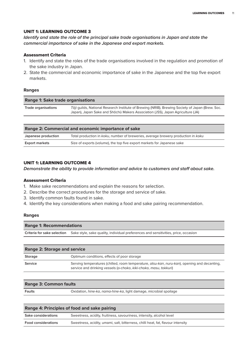#### UNIT 1: LEARNING OUTCOME 3

*Identify and state the role of the principal sake trade organisations in Japan and state the commercial importance of sake in the Japanese and export markets.*

#### Assessment Criteria

- 1. Identify and state the roles of the trade organisations involved in the regulation and promotion of the sake industry in Japan.
- 2. State the commercial and economic importance of sake in the Japanese and the top five export markets.

#### **Ranges**

| <b>Range 1: Sake trade organisations</b> |                                                                                                                                                                                    |  |
|------------------------------------------|------------------------------------------------------------------------------------------------------------------------------------------------------------------------------------|--|
| Trade organisations                      | Tōji guilds, National Research Institute of Brewing (NRIB), Brewing Society of Japan (Brew. Soc.<br>Japan), Japan Sake and Shochu Makers Association (JSS), Japan Agriculture (JA) |  |
|                                          |                                                                                                                                                                                    |  |

| Range 2: Commercial and economic importance of sake |                                                                                   |  |
|-----------------------------------------------------|-----------------------------------------------------------------------------------|--|
| Japanese production                                 | Total production in koku, number of breweries, average brewery production in koku |  |
| <b>Export markets</b>                               | Size of exports (volume), the top five export markets for Japanese sake           |  |

#### UNIT 1: LEARNING OUTCOME 4

*Demonstrate the ability to provide information and advice to customers and staff about sake.*

#### Assessment Criteria

- 1. Make sake recommendations and explain the reasons for selection.
- 2. Describe the correct procedures for the storage and service of sake.
- 3. Identify common faults found in sake.
- 4. Identify the key considerations when making a food and sake pairing recommendation.

#### **Ranges**

| <b>Range 1: Recommendations</b> |                                                                                                                 |  |
|---------------------------------|-----------------------------------------------------------------------------------------------------------------|--|
|                                 | Criteria for sake selection Sake style, sake quality, individual preferences and sensitivities, price, occasion |  |

| <b>Range 2: Storage and service</b> |                                                                                                                                                                                   |
|-------------------------------------|-----------------------------------------------------------------------------------------------------------------------------------------------------------------------------------|
| Storage                             | Optimum conditions, effects of poor storage                                                                                                                                       |
| Service                             | Serving temperatures (chilled, room temperature, <i>atsu-kan</i> , <i>nuru-kan</i> ), opening and decanting,<br>service and drinking vessels (o-choko, kiki-choko, masu, tokkuri) |

| <b>Range 3: Common faults</b> |                                                                                    |  |
|-------------------------------|------------------------------------------------------------------------------------|--|
| Faults                        | Oxidation, <i>hine-ka</i> , <i>nama-hine-ka</i> , light damage, microbial spoilage |  |

| Range 4: Principles of food and sake pairing |                                                                                  |  |
|----------------------------------------------|----------------------------------------------------------------------------------|--|
| <b>Sake considerations</b>                   | Sweetness, acidity, fruitiness, savouriness, intensity, alcohol level            |  |
| <b>Food considerations</b>                   | Sweetness, acidity, umami, salt, bitterness, chilli heat, fat, flavour intensity |  |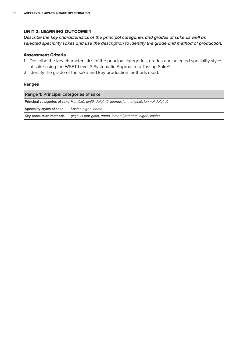#### UNIT 2: LEARNING OUTCOME 1

*Describe the key characteristics of the principal categories and grades of sake as well as selected speciality sakes and use the description to identify the grade and method of production.*

#### Assessment Criteria

- 1. Describe the key characteristics of the principal categories, grades and selected speciality styles of sake using the WSET Level 3 Systematic Approach to Tasting Sake®.
- 2. Identify the grade of the sake and key production methods used.

#### **Ranges**

| <b>Range 1: Principal categories of sake</b>                                                 |                                                         |  |
|----------------------------------------------------------------------------------------------|---------------------------------------------------------|--|
| Principal categories of sake Honjōzō, ginjō, daiginjō, junmai, junmai ginjō, junmai daiginjō |                                                         |  |
| Speciality styles of sake                                                                    | Koshu, nigori, nama                                     |  |
| Key production methods                                                                       | ginjō vs non-ginjō, nama, kimoto/yamahai, nigori, koshu |  |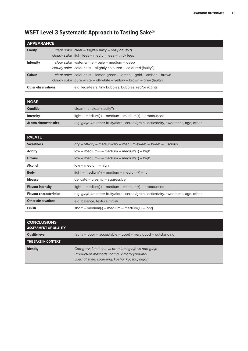| <b>APPEARANCE</b>         |  |                                                                                                                                                |
|---------------------------|--|------------------------------------------------------------------------------------------------------------------------------------------------|
| <b>Clarity</b>            |  | clear sake clear - slightly hazy - hazy (faulty?)<br>cloudy sake light lees – medium lees – thick lees                                         |
| <b>Intensity</b>          |  | clear sake water-white $-$ pale $-$ medium $-$ deep<br>cloudy sake colourless – slightly coloured – coloured (faulty?)                         |
| <b>Colour</b>             |  | $clear\,\,sake$ colourless – lemon-green – lemon – gold – amber – brown<br>cloudy sake pure white – off-white – yellow – brown – grey (faulty) |
| <b>Other observations</b> |  | e.g. legs/tears, tiny bubbles, bubbles, red/pink tints                                                                                         |

### **WSET Level 3 Systematic Approach to Tasting Sake®**

| <b>NOSE</b>           |                                                                                       |
|-----------------------|---------------------------------------------------------------------------------------|
| <b>Condition</b>      | clean – unclean (faulty?)                                                             |
| <b>Intensity</b>      | $light - medium(-) - medium - medium(+) - pronounced$                                 |
| Aroma characteristics | e.g. ginjō-ka, other fruity/floral, cereal/grain, lactic/dairy, sweetness, age, other |

| <b>PALATE</b>                  |                                                                                               |
|--------------------------------|-----------------------------------------------------------------------------------------------|
| <b>Sweetness</b>               | $\text{dry}$ – off-dry – medium-dry – medium-sweet – sweet – luscious                         |
| Acidity                        | $low - medium(-) - medium - medium(+) - high$                                                 |
| <b>Umami</b>                   | $low - medium(-) - medium - medium(+) - high$                                                 |
| Alcohol                        | $low - medium - high$                                                                         |
| <b>Body</b>                    | $light - medium(-) - medium - medium(+) - full$                                               |
| <b>Mousse</b>                  | $delicate - creamv - aqqressive$                                                              |
| <b>Flavour intensity</b>       | $light - medium(-) - medium - medium(+) - pronounced$                                         |
| <b>Flavour characteristics</b> | e.g. <i>ginjo-ka</i> , other fruity/floral, cereal/grain, lactic/dairy, sweetness, age, other |
| <b>Other observations</b>      | e.g. balance, texture, finish                                                                 |
| <b>Finish</b>                  | short – medium(-) – medium – medium(+) – long                                                 |

| <b>CONCLUSIONS</b><br><b>ASSESSMENT OF QUALITY</b> |                                                             |
|----------------------------------------------------|-------------------------------------------------------------|
| <b>Quality level</b>                               | faulty - poor - acceptable - good - very good - outstanding |
| THE SAKE IN CONTEXT                                |                                                             |
| <b>Identity</b>                                    | Category: futsū-shu vs premium, ginjō vs non-ginjō          |
|                                                    | Production methods: nama, kimoto/yamahai                    |
|                                                    | Special style: sparkling, koshu, kijōshu, nigori            |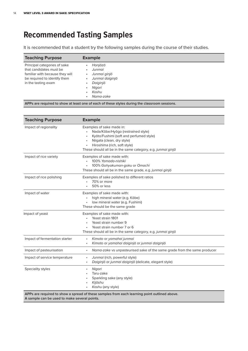## **Recommended Tasting Samples**

It is recommended that a student try the following samples during the course of their studies.

| Principal categories of sake<br>Honjōzō<br>٠<br>that candidates must be<br>Junmai<br>٠<br>Junmai ginjō<br>familiar with because they will<br>٠<br>be required to identify them<br>Junmai daiginjō<br>٠<br>Daiginjō<br>in the tasting exam<br>٠<br>Nigori<br>٠<br>Koshu<br>٠<br>Nama-zake<br>٠ | <b>Teaching Purpose</b> | <b>Example</b> |
|-----------------------------------------------------------------------------------------------------------------------------------------------------------------------------------------------------------------------------------------------------------------------------------------------|-------------------------|----------------|
|                                                                                                                                                                                                                                                                                               |                         |                |

**APPs are required to show at least one of each of these styles during the classroom sessions.**

| <b>Teaching Purpose</b>        | <b>Example</b>                                                                                                                                                                                                                                                                              |
|--------------------------------|---------------------------------------------------------------------------------------------------------------------------------------------------------------------------------------------------------------------------------------------------------------------------------------------|
| Impact of regionality          | Examples of sake made in:<br>Nada/Kōbe/Hyōgo (restrained style)<br>$\bullet$<br>Kyōto/Fushimi (soft and perfumed style)<br>$\bullet$<br>Niigata (clean, dry style)<br>$\bullet$<br>Hiroshima (rich, soft style)<br>$\bullet$<br>These should all be in the same category, e.g. junmai ginjo |
| Impact of rice variety         | Examples of sake made with:<br>100% Yamada-nishiki<br>100% Gohyakuman-goku or Omachi<br>These should all be in the same grade, e.g. junmai ginjo                                                                                                                                            |
| Impact of rice polishing       | Examples of sake polished to different ratios<br>70% or more<br>50% or less                                                                                                                                                                                                                 |
| Impact of water                | Examples of sake made with:<br>high mineral water (e.g. Kōbe)<br>low mineral water (e.g. Fushimi)<br>These should be the same grade                                                                                                                                                         |
| Impact of yeast                | Examples of sake made with:<br>Yeast strain 1801<br>Yeast strain number 9<br>Yeast strain number 7 or 6<br>These should all be in the same category, e.g. junmai ginjo                                                                                                                      |
| Impact of fermentation starter | Kimoto or yamahai junmai<br>Kimoto or yamahai daiginjō or junmai daiginjō                                                                                                                                                                                                                   |
| Impact of pasteurisation       | Nama-zake vs unpasteurised sake of the same grade from the same producer<br>$\bullet$                                                                                                                                                                                                       |
| Impact of service temperature  | Junmai (rich, powerful style)<br>$\bullet$<br>Daiginjō or junmai daiginjō (delicate, elegant style)<br>$\bullet$                                                                                                                                                                            |
| Speciality styles              | Nigori<br>$\bullet$<br>Taru-zake<br>Sparkling sake (any style)<br>$\bullet$<br>Kijōshu<br>Koshu (any style)<br>APPs are required to show a spread of these samples from each learning point outlined above.                                                                                 |

**A sample can be used to make several points.**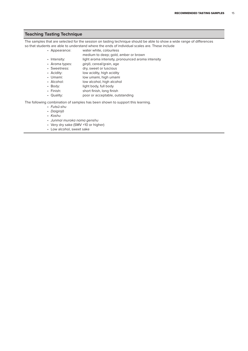#### **Teaching Tasting Technique**

The samples that are selected for the session on tasting technique should be able to show a wide range of differences so that students are able to understand where the ends of individual scales are. These include

- Appearance: water white, colourless
- medium to deep; gold, amber or brown
- Intensity: light aroma intensity, pronounced aroma intensity
- Aroma types: ginjō, cereal/grain, age<br>• Sweetness: dry, sweet or luscious
- dry, sweet or luscious
- Acidity: low acidity, high acidity
- Umami: low umami, high umami
- Alcohol: low alcohol, high alcohol<br>• Body: light body, full body
- light body, full body
- Finish: short finish, long finish
- Quality: poor or acceptable, outstanding

The following combination of samples has been shown to support this learning.

- Futsū-shu
- Daiginjō
- Koshu
- Junmai muroka nama genshu
- Very dry sake (SMV +10 or higher)
- Low alcohol, sweet sake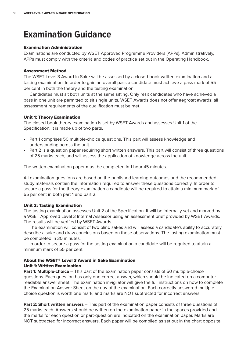## **Examination Guidance**

#### Examination Administration

Examinations are conducted by WSET Approved Programme Providers (APPs). Administratively, APPs must comply with the criteria and codes of practice set out in the Operating Handbook.

#### Assessment Method

The WSET Level 3 Award in Sake will be assessed by a closed-book written examination and a tasting examination. In order to gain an overall pass a candidate must achieve a pass mark of 55 per cent in both the theory and the tasting examination.

Candidates must sit both units at the same sitting. Only resit candidates who have achieved a pass in one unit are permitted to sit single units. WSET Awards does not offer aegrotat awards; all assessment requirements of the qualification must be met.

#### Unit 1: Theory Examination

The closed-book theory examination is set by WSET Awards and assesses Unit 1 of the Specification. It is made up of two parts.

- Part 1 comprises 50 multiple-choice questions. This part will assess knowledge and understanding across the unit.
- Part 2 is a question paper requiring short written answers. This part will consist of three questions of 25 marks each, and will assess the application of knowledge across the unit.

The written examination paper must be completed in 1 hour 45 minutes.

All examination questions are based on the published learning outcomes and the recommended study materials contain the information required to answer these questions correctly. In order to secure a pass for the theory examination a candidate will be required to attain a minimum mark of 55 per cent in both part 1 and part 2.

#### Unit 2: Tasting Examination

The tasting examination assesses Unit 2 of the Specification. It will be internally set and marked by a WSET Approved Level 3 Internal Assessor using an assessment brief provided by WSET Awards. The results will be verified by WSET Awards.

The examination will consist of two blind sakes and will assess a candidate's ability to accurately describe a sake and draw conclusions based on these observations. The tasting examination must be completed in 30 minutes.

In order to secure a pass for the tasting examination a candidate will be required to attain a minimum mark of 55 per cent.

#### About the WSET® Level 3 Award in Sake Examination

#### Unit 1: Written Examination

**Part 1: Multiple-choice** – This part of the examination paper consists of 50 multiple-choice questions. Each question has only one correct answer, which should be indicated on a computerreadable answer sheet. The examination invigilator will give the full instructions on how to complete the Examination Answer Sheet on the day of the examination. Each correctly answered multiplechoice question is worth one mark, and marks are NOT subtracted for incorrect answers.

**Part 2: Short written answers** – This part of the examination paper consists of three questions of 25 marks each. Answers should be written on the examination paper in the spaces provided and the marks for each question or part-question are indicated on the examination paper. Marks are NOT subtracted for incorrect answers. Each paper will be compiled as set out in the chart opposite.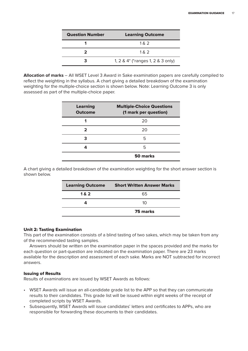| <b>Question Number</b> | <b>Learning Outcome</b>           |
|------------------------|-----------------------------------|
|                        | 1 & 2                             |
|                        | 1 & 2                             |
|                        | 1, 2 & 4* (*ranges 1, 2 & 3 only) |

**Allocation of marks** – All WSET Level 3 Award in Sake examination papers are carefully compiled to reflect the weighting in the syllabus. A chart giving a detailed breakdown of the examination weighting for the multiple-choice section is shown below. Note: Learning Outcome 3 is only assessed as part of the multiple-choice paper.

| <b>Learning</b><br><b>Outcome</b> | <b>Multiple-Choice Questions</b><br>(1 mark per question) |
|-----------------------------------|-----------------------------------------------------------|
|                                   | 20                                                        |
| 2                                 | 20                                                        |
| З                                 | 5                                                         |
|                                   | 5                                                         |
|                                   | 50 marks                                                  |

A chart giving a detailed breakdown of the examination weighting for the short answer section is shown below.

| <b>Learning Outcome</b> | <b>Short Written Answer Marks</b> |
|-------------------------|-----------------------------------|
| 1&2                     | 65                                |
|                         | 10                                |
|                         | <b>75 marks</b>                   |

#### Unit 2: Tasting Examination

This part of the examination consists of a blind tasting of two sakes, which may be taken from any of the recommended tasting samples.

Answers should be written on the examination paper in the spaces provided and the marks for each question or part-question are indicated on the examination paper. There are 23 marks available for the description and assessment of each sake. Marks are NOT subtracted for incorrect answers.

#### Issuing of Results

Results of examinations are issued by WSET Awards as follows:

- WSET Awards will issue an all-candidate grade list to the APP so that they can communicate results to their candidates. This grade list will be issued within eight weeks of the receipt of completed scripts by WSET Awards.
- Subsequently, WSET Awards will issue candidates' letters and certificates to APPs, who are responsible for forwarding these documents to their candidates.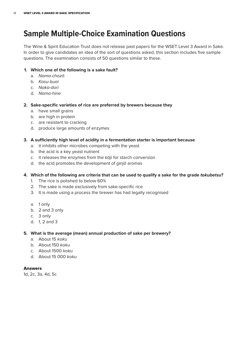## **Sample Multiple-Choice Examination Questions**

The Wine & Spirit Education Trust does not release past papers for the WSET Level 3 Award in Sake. In order to give candidates an idea of the sort of questions asked, this section includes five sample questions. The examination consists of 50 questions similar to these.

#### **1. Which one of the following is a sake fault?**

- a. Nama-chozō
- b. Kasu-buai
- c. Naka-dori
- d. Nama-hine

#### **2. Sake-specific varieties of rice are preferred by brewers because they**

- a. have small grains
- b. are high in protein
- c. are resistant to cracking
- d. produce large amounts of enzymes

#### **3. A sufficiently high level of acidity in a fermentation starter is important because**

- a. it inhibits other microbes competing with the yeast
- b. the acid is a key yeast nutrient
- c. it releases the enzymes from the koji for starch conversion
- d. the acid promotes the development of ginjo aromas

#### 4. Which of the following are criteria that can be used to qualify a sake for the grade tokubetsu?

- 1. The rice is polished to below 60%
- 2. The sake is made exclusively from sake-specific rice
- 3. It is made using a process the brewer has had legally recognised
- a. 1 only
- b. 2 and 3 only
- c. 3 only
- d. 1, 2 and 3

#### **5. What is the average (mean) annual production of sake per brewery?**

- a. About 15 koku
- b. About 150 koku
- c. About 1500 koku
- d. About 15 000 koku

#### Answers

1d, 2c, 3a, 4d, 5c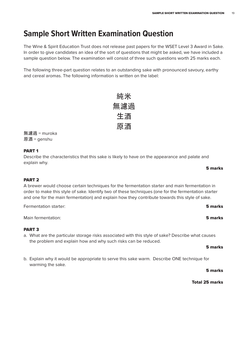## **Sample Short Written Examination Question**

The Wine & Spirit Education Trust does not release past papers for the WSET Level 3 Award in Sake. In order to give candidates an idea of the sort of questions that might be asked, we have included a sample question below. The examination will consist of three such questions worth 25 marks each.

The following three-part question relates to an outstanding sake with pronounced savoury, earthy and cereal aromas. The following information is written on the label:

| 純米  |
|-----|
| 無濾過 |
| 生酒  |
| 原酒  |

無濾過 = muroka 原酒 = genshu

#### PART 1

Describe the characteristics that this sake is likely to have on the appearance and palate and explain why.

#### PART 2

A brewer would choose certain techniques for the fermentation starter and main fermentation in order to make this style of sake. Identify two of these techniques (one for the fermentation starter and one for the main fermentation) and explain how they contribute towards this style of sake.

**Fermentation starter:** 5 marks

Main fermentation: **5 marks** 

#### PART 3

a. What are the particular storage risks associated with this style of sake? Describe what causes the problem and explain how and why such risks can be reduced.

#### b. Explain why it would be appropriate to serve this sake warm. Describe ONE technique for warming the sake.

5 marks

5 marks

5 marks

Total 25 marks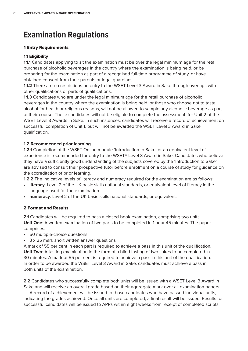## **Examination Regulations**

#### 1 Entry Requirements

#### **1.1 Eligibility**

**1.1.1** Candidates applying to sit the examination must be over the legal minimum age for the retail purchase of alcoholic beverages in the country where the examination is being held, or be preparing for the examination as part of a recognised full-time programme of study, or have obtained consent from their parents or legal guardians.

**1.1.2** There are no restrictions on entry to the WSET Level 3 Award in Sake through overlaps with other qualifications or parts of qualifications.

**1.1.3** Candidates who are under the legal minimum age for the retail purchase of alcoholic beverages in the country where the examination is being held, or those who choose not to taste alcohol for health or religious reasons, will not be allowed to sample any alcoholic beverage as part of their course. These candidates will not be eligible to complete the assessment for Unit 2 of the WSET Level 3 Awards in Sake. In such instances, candidates will receive a record of achievement on successful completion of Unit 1, but will not be awarded the WSET Level 3 Award in Sake qualification.

#### **1.2 Recommended prior learning**

**1.2.1** Completion of the WSET Online module 'Introduction to Sake' or an equivalent level of experience is recommended for entry to the WSET® Level 3 Award in Sake. Candidates who believe they have a sufficiently good understanding of the subjects covered by the 'Introduction to Sake' are advised to consult their prospective tutor before enrolment on a course of study for guidance on the accreditation of prior learning.

**1.2.2** The indicative levels of literacy and numeracy required for the examination are as follows:

- **literacy**: Level 2 of the UK basic skills national standards, or equivalent level of literacy in the language used for the examination.
- **numeracy**: Level 2 of the UK basic skills national standards, or equivalent.

#### 2 Format and Results

**2.1** Candidates will be required to pass a closed-book examination, comprising two units. **Unit One**: A written examination of two parts to be completed in 1 hour 45 minutes. The paper comprises:

- 50 multiple-choice questions
- 3 x 25 mark short written answer questions

A mark of 55 per cent in each part is required to achieve a pass in this unit of the qualification. **Unit Two**: A tasting examination in the form of a blind tasting of two sakes to be completed in 30 minutes. A mark of 55 per cent is required to achieve a pass in this unit of the qualification. In order to be awarded the WSET Level 3 Award in Sake, candidates must achieve a pass in both units of the examination.

**2.2** Candidates who successfully complete both units will be issued with a WSET Level 3 Award in Sake and will receive an overall grade based on their aggregate mark over all examination papers.

A record of achievement will be issued to those candidates who have passed individual units, indicating the grades achieved. Once all units are completed, a final result will be issued. Results for successful candidates will be issued to APPs within eight weeks from receipt of completed scripts.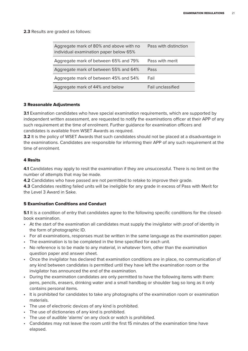**2.3** Results are graded as follows:

| Aggregate mark of 80% and above with no<br>individual examination paper below 65% | Pass with distinction |
|-----------------------------------------------------------------------------------|-----------------------|
| Aggregate mark of between 65% and 79%                                             | Pass with merit       |
| Aggregate mark of between 55% and 64%                                             | Pass                  |
| Aggregate mark of between 45% and 54%                                             | Fail                  |
| Aggregate mark of 44% and below                                                   | Fail unclassified     |

#### 3 Reasonable Adjustments

**3.1** Examination candidates who have special examination requirements, which are supported by independent written assessment, are requested to notify the examinations officer at their APP of any such requirement at the time of enrolment. Further guidance for examination officers and candidates is available from WSET Awards as required.

**3.2** It is the policy of WSET Awards that such candidates should not be placed at a disadvantage in the examinations. Candidates are responsible for informing their APP of any such requirement at the time of enrolment.

#### 4 Resits

**4.1** Candidates may apply to resit the examination if they are unsuccessful. There is no limit on the number of attempts that may be made.

**4.2** Candidates who have passed are not permitted to retake to improve their grade.

**4.3** Candidates resitting failed units will be ineligible for any grade in excess of Pass with Merit for the Level 3 Award in Sake.

#### 5 Examination Conditions and Conduct

**5.1** It is a condition of entry that candidates agree to the following specific conditions for the closedbook examination.

- At the start of the examination all candidates must supply the invigilator with proof of identity in the form of photographic ID.
- For all examinations, responses must be written in the same language as the examination paper.
- The examination is to be completed in the time specified for each unit.
- No reference is to be made to any material, in whatever form, other than the examination question paper and answer sheet.
- Once the invigilator has declared that examination conditions are in place, no communication of any kind between candidates is permitted until they have left the examination room or the invigilator has announced the end of the examination.
- During the examination candidates are only permitted to have the following items with them: pens, pencils, erasers, drinking water and a small handbag or shoulder bag so long as it only contains personal items.
- It is prohibited for candidates to take any photographs of the examination room or examination materials.
- The use of electronic devices of any kind is prohibited.
- The use of dictionaries of any kind is prohibited.
- The use of audible 'alarms' on any clock or watch is prohibited.
- Candidates may not leave the room until the first 15 minutes of the examination time have elapsed.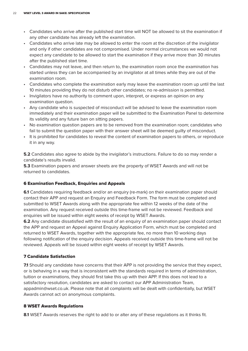- Candidates who arrive after the published start time will NOT be allowed to sit the examination if any other candidate has already left the examination.
- Candidates who arrive late may be allowed to enter the room at the discretion of the invigilator and only if other candidates are not compromised. Under normal circumstances we would not expect any candidate to be allowed to start the examination if they arrive more than 30 minutes after the published start time.
- Candidates may not leave, and then return to, the examination room once the examination has started unless they can be accompanied by an invigilator at all times while they are out of the examination room.
- Candidates who complete the examination early may leave the examination room up until the last 10 minutes providing they do not disturb other candidates; no re-admission is permitted.
- Invigilators have no authority to comment upon, interpret, or express an opinion on any examination question.
- Any candidate who is suspected of misconduct will be advised to leave the examination room immediately and their examination paper will be submitted to the Examination Panel to determine its validity and any future ban on sitting papers.
- No examination question papers are to be removed from the examination room; candidates who fail to submit the question paper with their answer sheet will be deemed guilty of misconduct.
- It is prohibited for candidates to reveal the content of examination papers to others, or reproduce it in any way.

**5.2** Candidates also agree to abide by the invigilator's instructions. Failure to do so may render a candidate's results invalid.

**5.3** Examination papers and answer sheets are the property of WSET Awards and will not be returned to candidates.

#### 6 Examination Feedback, Enquiries and Appeals

**6.1** Candidates requiring feedback and/or an enquiry (re-mark) on their examination paper should contact their APP and request an Enquiry and Feedback Form. The form must be completed and submitted to WSET Awards along with the appropriate fee within 12 weeks of the date of the examination. Any request received outside this time-frame will not be reviewed. Feedback and enquiries will be issued within eight weeks of receipt by WSET Awards.

**6.2** Any candidate dissatisfied with the result of an enquiry of an examination paper should contact the APP and request an Appeal against Enquiry Application Form, which must be completed and returned to WSET Awards, together with the appropriate fee, no more than 10 working days following notification of the enquiry decision. Appeals received outside this time-frame will not be reviewed. Appeals will be issued within eight weeks of receipt by WSET Awards.

#### 7 Candidate Satisfaction

**7.1** Should any candidate have concerns that their APP is not providing the service that they expect, or is behaving in a way that is inconsistent with the standards required in terms of administration, tuition or examinations, they should first take this up with their APP. If this does not lead to a satisfactory resolution, candidates are asked to contact our APP Administration Team, appadmin@wset.co.uk. Please note that all complaints will be dealt with confidentially, but WSET Awards cannot act on anonymous complaints.

#### 8 WSET Awards Regulations

**8.1** WSET Awards reserves the right to add to or alter any of these regulations as it thinks fit.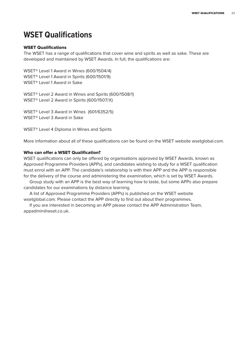## **WSET Qualifications**

#### WSET Qualifications

The WSET has a range of qualifications that cover wine and spirits as well as sake. These are developed and maintained by WSET Awards. In full, the qualifications are:

WSET® Level 1 Award in Wines (600/1504/4) WSET® Level 1 Award in Spirits (600/1501/9) WSET® Level 1 Award in Sake

WSET® Level 2 Award in Wines and Spirits (600/1508/1) WSET® Level 2 Award in Spirits (600/1507/X)

WSET® Level 3 Award in Wines (601/6352/5) WSET® Level 3 Award in Sake

WSET® Level 4 Diploma in Wines and Spirits

More information about all of these qualifications can be found on the WSET website wsetglobal.com.

#### Who can offer a WSET Qualification?

WSET qualifications can only be offered by organisations approved by WSET Awards, known as Approved Programme Providers (APPs), and candidates wishing to study for a WSET qualification must enrol with an APP. The candidate's relationship is with their APP and the APP is responsible for the delivery of the course and administering the examination, which is set by WSET Awards.

Group study with an APP is the best way of learning how to taste, but some APPs also prepare candidates for our examinations by distance learning.

A list of Approved Programme Providers (APPs) is published on the WSET website wsetglobal.com. Please contact the APP directly to find out about their programmes.

If you are interested in becoming an APP please contact the APP Administration Team, appadmin@wset.co.uk.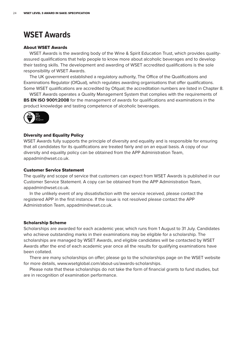## **WSET Awards**

#### About WSET Awards

WSET Awards is the awarding body of the Wine & Spirit Education Trust, which provides qualityassured qualifications that help people to know more about alcoholic beverages and to develop their tasting skills. The development and awarding of WSET accredited qualifications is the sole responsibility of WSET Awards.

The UK government established a regulatory authority, The Office of the Qualifications and Examinations Regulator (OfQual), which regulates awarding organisations that offer qualifications. Some WSET qualifications are accredited by Ofqual; the accreditation numbers are listed in Chapter 8.

WSET Awards operates a Quality Management System that complies with the requirements of **BS EN ISO 9001:2008** for the management of awards for qualifications and examinations in the product knowledge and tasting competence of alcoholic beverages.



#### Diversity and Equality Policy

WSET Awards fully supports the principle of diversity and equality and is responsible for ensuring that all candidates for its qualifications are treated fairly and on an equal basis. A copy of our diversity and equality policy can be obtained from the APP Administration Team, appadmin@wset.co.uk.

#### Customer Service Statement

The quality and scope of service that customers can expect from WSET Awards is published in our Customer Service Statement. A copy can be obtained from the APP Administration Team, appadmin@wset.co.uk.

In the unlikely event of any dissatisfaction with the service received, please contact the registered APP in the first instance. If the issue is not resolved please contact the APP Administration Team, appadmin@wset.co.uk.

#### Scholarship Scheme

Scholarships are awarded for each academic year, which runs from 1 August to 31 July. Candidates who achieve outstanding marks in their examinations may be eligible for a scholarship. The scholarships are managed by WSET Awards, and eligible candidates will be contacted by WSET Awards after the end of each academic year once all the results for qualifying examinations have been collated.

There are many scholarships on offer; please go to the scholarships page on the WSET website for more details, www.wsetglobal.com/about-us/awards-scholarships.

Please note that these scholarships do not take the form of financial grants to fund studies, but are in recognition of examination performance.